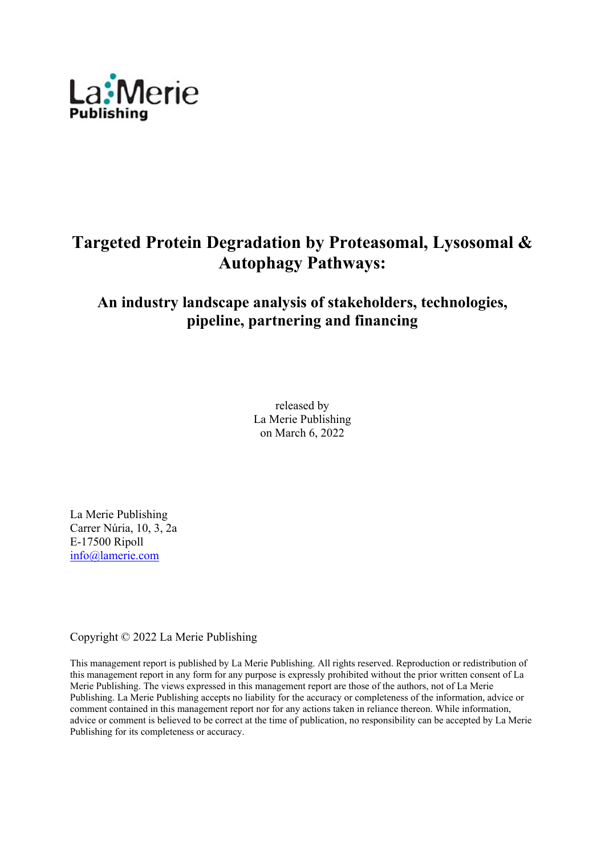

# **Targeted Protein Degradation by Proteasomal, Lysosomal & Autophagy Pathways:**

## **An industry landscape analysis of stakeholders, technologies, pipeline, partnering and financing**

released by La Merie Publishing on March 6, 2022

La Merie Publishing Carrer Núria, 10, 3, 2a E-17500 Ripoll info@lamerie.com

Copyright © 2022 La Merie Publishing

This management report is published by La Merie Publishing. All rights reserved. Reproduction or redistribution of this management report in any form for any purpose is expressly prohibited without the prior written consent of La Merie Publishing. The views expressed in this management report are those of the authors, not of La Merie Publishing. La Merie Publishing accepts no liability for the accuracy or completeness of the information, advice or comment contained in this management report nor for any actions taken in reliance thereon. While information, advice or comment is believed to be correct at the time of publication, no responsibility can be accepted by La Merie Publishing for its completeness or accuracy.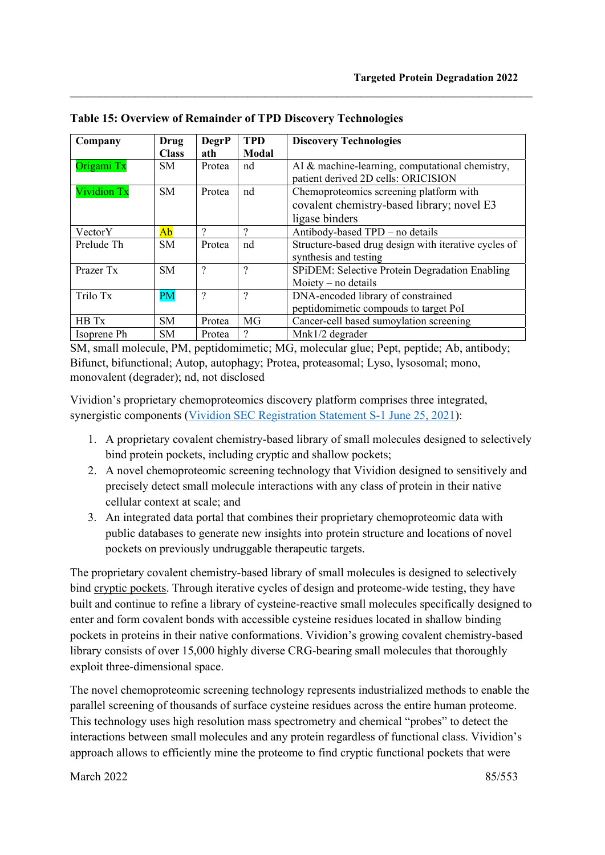| Company     | Drug         | <b>DegrP</b>       | <b>TPD</b>   | <b>Discovery Technologies</b>                        |  |  |
|-------------|--------------|--------------------|--------------|------------------------------------------------------|--|--|
|             | <b>Class</b> | ath                | <b>Modal</b> |                                                      |  |  |
| Origami Tx  | SM.          | Protea             | nd           | AI & machine-learning, computational chemistry,      |  |  |
|             |              |                    |              | patient derived 2D cells: ORICISION                  |  |  |
| Vividion Tx | <b>SM</b>    | Protea             | nd           | Chemoproteomics screening platform with              |  |  |
|             |              |                    |              | covalent chemistry-based library; novel E3           |  |  |
|             |              |                    |              | ligase binders                                       |  |  |
| VectorY     | Ab           | ?                  | ?            | Antibody-based TPD - no details                      |  |  |
| Prelude Th  | SM.          | Protea             | nd           | Structure-based drug design with iterative cycles of |  |  |
|             |              |                    |              | synthesis and testing                                |  |  |
| Prazer Tx   | SM.          | $\overline{\cdot}$ | ?            | SPIDEM: Selective Protein Degradation Enabling       |  |  |
|             |              |                    |              | Moiety $-$ no details                                |  |  |
| Trilo Tx    | <b>PM</b>    | $\gamma$           | $\gamma$     | DNA-encoded library of constrained                   |  |  |
|             |              |                    |              | peptidomimetic compouds to target PoI                |  |  |
| HB Tx       | SM.          | Protea             | MG           | Cancer-cell based sumoylation screening              |  |  |
| Isoprene Ph | SM           | Protea             | ?            | Mnk1/2 degrader                                      |  |  |

 $\_$  , and the set of the set of the set of the set of the set of the set of the set of the set of the set of the set of the set of the set of the set of the set of the set of the set of the set of the set of the set of th

**Table 15: Overview of Remainder of TPD Discovery Technologies** 

SM, small molecule, PM, peptidomimetic; MG, molecular glue; Pept, peptide; Ab, antibody; Bifunct, bifunctional; Autop, autophagy; Protea, proteasomal; Lyso, lysosomal; mono, monovalent (degrader); nd, not disclosed

Vividion's proprietary chemoproteomics discovery platform comprises three integrated, synergistic components (Vividion SEC Registration Statement S-1 June 25, 2021):

- 1. A proprietary covalent chemistry-based library of small molecules designed to selectively bind protein pockets, including cryptic and shallow pockets;
- 2. A novel chemoproteomic screening technology that Vividion designed to sensitively and precisely detect small molecule interactions with any class of protein in their native cellular context at scale; and
- 3. An integrated data portal that combines their proprietary chemoproteomic data with public databases to generate new insights into protein structure and locations of novel pockets on previously undruggable therapeutic targets.

The proprietary covalent chemistry-based library of small molecules is designed to selectively bind cryptic pockets. Through iterative cycles of design and proteome-wide testing, they have built and continue to refine a library of cysteine-reactive small molecules specifically designed to enter and form covalent bonds with accessible cysteine residues located in shallow binding pockets in proteins in their native conformations. Vividion's growing covalent chemistry-based library consists of over 15,000 highly diverse CRG-bearing small molecules that thoroughly exploit three-dimensional space.

The novel chemoproteomic screening technology represents industrialized methods to enable the parallel screening of thousands of surface cysteine residues across the entire human proteome. This technology uses high resolution mass spectrometry and chemical "probes" to detect the interactions between small molecules and any protein regardless of functional class. Vividion's approach allows to efficiently mine the proteome to find cryptic functional pockets that were

March 2022 85/553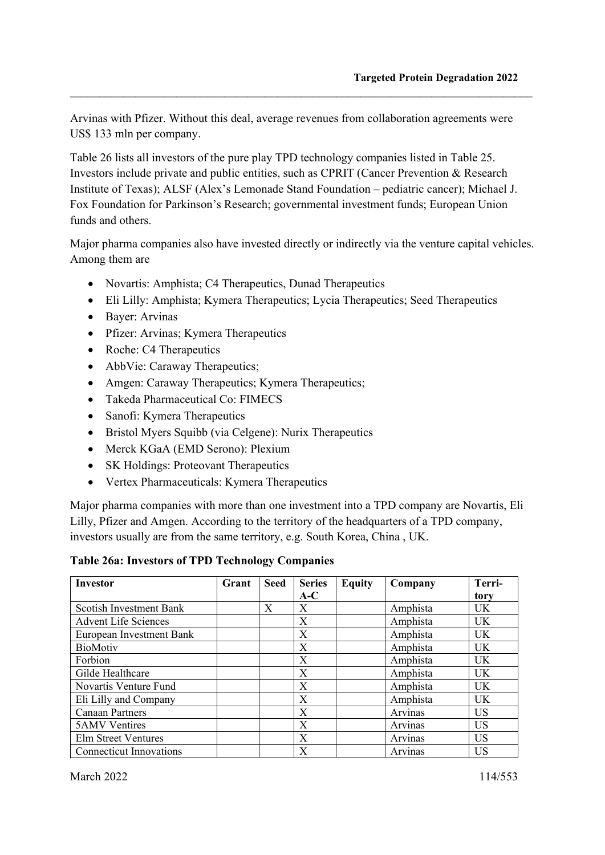Arvinas with Pfizer. Without this deal, average revenues from collaboration agreements were US\$ 133 mln per company.

 $\_$  , and the set of the set of the set of the set of the set of the set of the set of the set of the set of the set of the set of the set of the set of the set of the set of the set of the set of the set of the set of th

Table 26 lists all investors of the pure play TPD technology companies listed in Table 25. Investors include private and public entities, such as CPRIT (Cancer Prevention & Research Institute of Texas); ALSF (Alex's Lemonade Stand Foundation – pediatric cancer); Michael J. Fox Foundation for Parkinson's Research; governmental investment funds; European Union funds and others.

Major pharma companies also have invested directly or indirectly via the venture capital vehicles. Among them are

- Novartis: Amphista; C4 Therapeutics, Dunad Therapeutics
- Eli Lilly: Amphista; Kymera Therapeutics; Lycia Therapeutics; Seed Therapeutics
- Baver: Arvinas
- Pfizer: Arvinas; Kymera Therapeutics
- Roche: C4 Therapeutics
- AbbVie: Caraway Therapeutics;
- Amgen: Caraway Therapeutics; Kymera Therapeutics;
- Takeda Pharmaceutical Co: FIMECS
- Sanofi: Kymera Therapeutics
- Bristol Myers Squibb (via Celgene): Nurix Therapeutics
- Merck KGaA (EMD Serono): Plexium
- SK Holdings: Proteovant Therapeutics
- Vertex Pharmaceuticals: Kymera Therapeutics

Major pharma companies with more than one investment into a TPD company are Novartis, Eli Lilly, Pfizer and Amgen. According to the territory of the headquarters of a TPD company, investors usually are from the same territory, e.g. South Korea, China , UK.

**Table 26a: Investors of TPD Technology Companies** 

| <b>Investor</b>                | Grant | <b>Seed</b> | <b>Series</b> | <b>Equity</b> | Company  | Terri-    |
|--------------------------------|-------|-------------|---------------|---------------|----------|-----------|
|                                |       |             | $A-C$         |               |          | tory      |
| Scotish Investment Bank        |       | X           | X             |               | Amphista | UK.       |
| Advent Life Sciences           |       |             | X             |               | Amphista | <b>UK</b> |
| European Investment Bank       |       |             | X             |               | Amphista | <b>UK</b> |
| <b>BioMotiv</b>                |       |             | X             |               | Amphista | UK.       |
| Forbion                        |       |             | X             |               | Amphista | <b>UK</b> |
| Gilde Healthcare               |       |             | X             |               | Amphista | <b>UK</b> |
| Novartis Venture Fund          |       |             | X             |               | Amphista | UK.       |
| Eli Lilly and Company          |       |             | X             |               | Amphista | <b>UK</b> |
| <b>Canaan Partners</b>         |       |             | X             |               | Arvinas  | <b>US</b> |
| <b>5AMV</b> Ventires           |       |             | X             |               | Arvinas  | <b>US</b> |
| Elm Street Ventures            |       |             | X             |               | Arvinas  | US        |
| <b>Connecticut Innovations</b> |       |             | X             |               | Arvinas  | US        |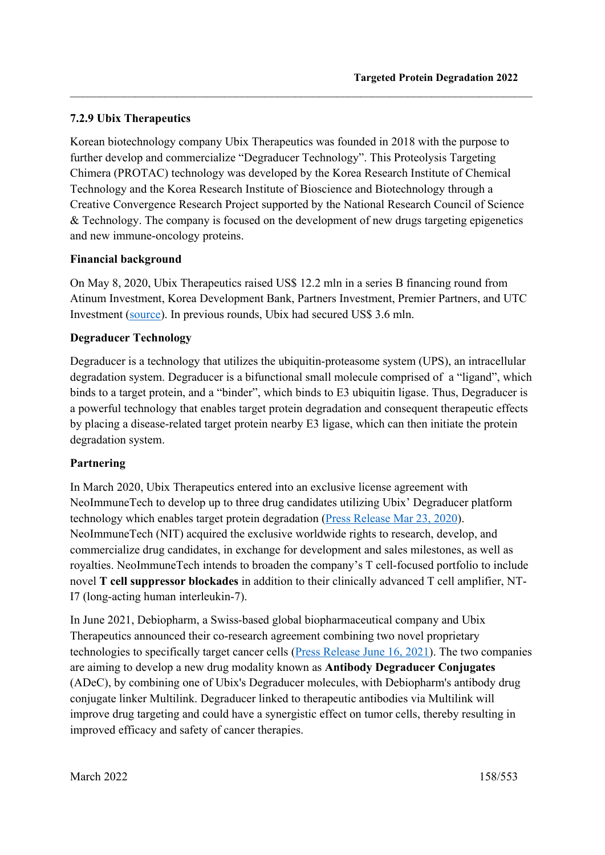#### **7.2.9 Ubix Therapeutics**

Korean biotechnology company Ubix Therapeutics was founded in 2018 with the purpose to further develop and commercialize "Degraducer Technology". This Proteolysis Targeting Chimera (PROTAC) technology was developed by the Korea Research Institute of Chemical Technology and the Korea Research Institute of Bioscience and Biotechnology through a Creative Convergence Research Project supported by the National Research Council of Science & Technology. The company is focused on the development of new drugs targeting epigenetics and new immune-oncology proteins.

 $\_$  , and the set of the set of the set of the set of the set of the set of the set of the set of the set of the set of the set of the set of the set of the set of the set of the set of the set of the set of the set of th

#### **Financial background**

On May 8, 2020, Ubix Therapeutics raised US\$ 12.2 mln in a series B financing round from Atinum Investment, Korea Development Bank, Partners Investment, Premier Partners, and UTC Investment (source). In previous rounds, Ubix had secured US\$ 3.6 mln.

#### **Degraducer Technology**

Degraducer is a technology that utilizes the ubiquitin-proteasome system (UPS), an intracellular degradation system. Degraducer is a bifunctional small molecule comprised of a "ligand", which binds to a target protein, and a "binder", which binds to E3 ubiquitin ligase. Thus, Degraducer is a powerful technology that enables target protein degradation and consequent therapeutic effects by placing a disease-related target protein nearby E3 ligase, which can then initiate the protein degradation system.

#### **Partnering**

In March 2020, Ubix Therapeutics entered into an exclusive license agreement with NeoImmuneTech to develop up to three drug candidates utilizing Ubix' Degraducer platform technology which enables target protein degradation (Press Release Mar 23, 2020). NeoImmuneTech (NIT) acquired the exclusive worldwide rights to research, develop, and commercialize drug candidates, in exchange for development and sales milestones, as well as royalties. NeoImmuneTech intends to broaden the company's T cell-focused portfolio to include novel **T cell suppressor blockades** in addition to their clinically advanced T cell amplifier, NT-I7 (long-acting human interleukin-7).

In June 2021, Debiopharm, a Swiss-based global biopharmaceutical company and Ubix Therapeutics announced their co-research agreement combining two novel proprietary technologies to specifically target cancer cells (Press Release June 16, 2021). The two companies are aiming to develop a new drug modality known as **Antibody Degraducer Conjugates** (ADeC), by combining one of Ubix's Degraducer molecules, with Debiopharm's antibody drug conjugate linker Multilink. Degraducer linked to therapeutic antibodies via Multilink will improve drug targeting and could have a synergistic effect on tumor cells, thereby resulting in improved efficacy and safety of cancer therapies.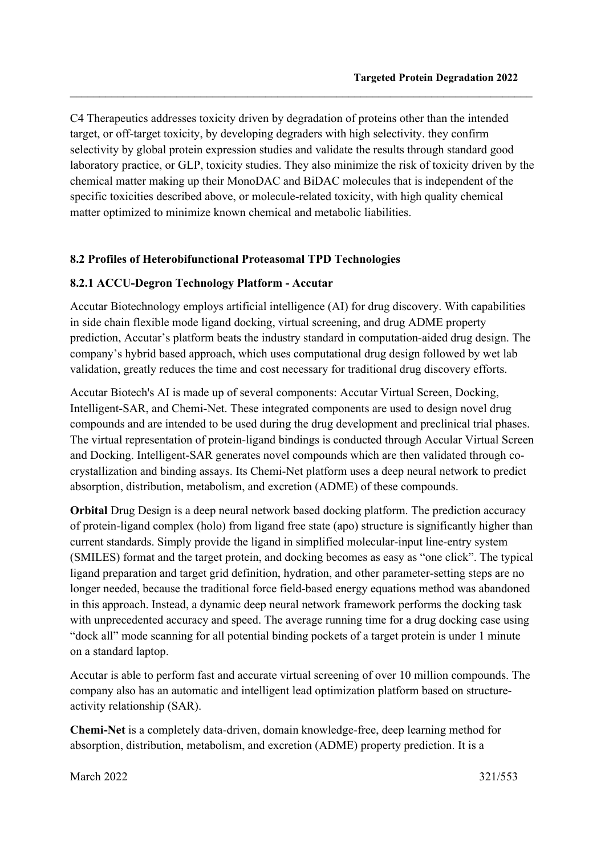C4 Therapeutics addresses toxicity driven by degradation of proteins other than the intended target, or off-target toxicity, by developing degraders with high selectivity. they confirm selectivity by global protein expression studies and validate the results through standard good laboratory practice, or GLP, toxicity studies. They also minimize the risk of toxicity driven by the chemical matter making up their MonoDAC and BiDAC molecules that is independent of the specific toxicities described above, or molecule-related toxicity, with high quality chemical matter optimized to minimize known chemical and metabolic liabilities.

 $\_$  , and the set of the set of the set of the set of the set of the set of the set of the set of the set of the set of the set of the set of the set of the set of the set of the set of the set of the set of the set of th

#### **8.2 Profiles of Heterobifunctional Proteasomal TPD Technologies**

#### **8.2.1 ACCU-Degron Technology Platform - Accutar**

Accutar Biotechnology employs artificial intelligence (AI) for drug discovery. With capabilities in side chain flexible mode ligand docking, virtual screening, and drug ADME property prediction, Accutar's platform beats the industry standard in computation-aided drug design. The company's hybrid based approach, which uses computational drug design followed by wet lab validation, greatly reduces the time and cost necessary for traditional drug discovery efforts.

Accutar Biotech's AI is made up of several components: Accutar Virtual Screen, Docking, Intelligent-SAR, and Chemi-Net. These integrated components are used to design novel drug compounds and are intended to be used during the drug development and preclinical trial phases. The virtual representation of protein-ligand bindings is conducted through Accular Virtual Screen and Docking. Intelligent-SAR generates novel compounds which are then validated through cocrystallization and binding assays. Its Chemi-Net platform uses a deep neural network to predict absorption, distribution, metabolism, and excretion (ADME) of these compounds.

**Orbital** Drug Design is a deep neural network based docking platform. The prediction accuracy of protein-ligand complex (holo) from ligand free state (apo) structure is significantly higher than current standards. Simply provide the ligand in simplified molecular-input line-entry system (SMILES) format and the target protein, and docking becomes as easy as "one click". The typical ligand preparation and target grid definition, hydration, and other parameter-setting steps are no longer needed, because the traditional force field-based energy equations method was abandoned in this approach. Instead, a dynamic deep neural network framework performs the docking task with unprecedented accuracy and speed. The average running time for a drug docking case using "dock all" mode scanning for all potential binding pockets of a target protein is under 1 minute on a standard laptop.

Accutar is able to perform fast and accurate virtual screening of over 10 million compounds. The company also has an automatic and intelligent lead optimization platform based on structureactivity relationship (SAR).

**Chemi-Net** is a completely data-driven, domain knowledge-free, deep learning method for absorption, distribution, metabolism, and excretion (ADME) property prediction. It is a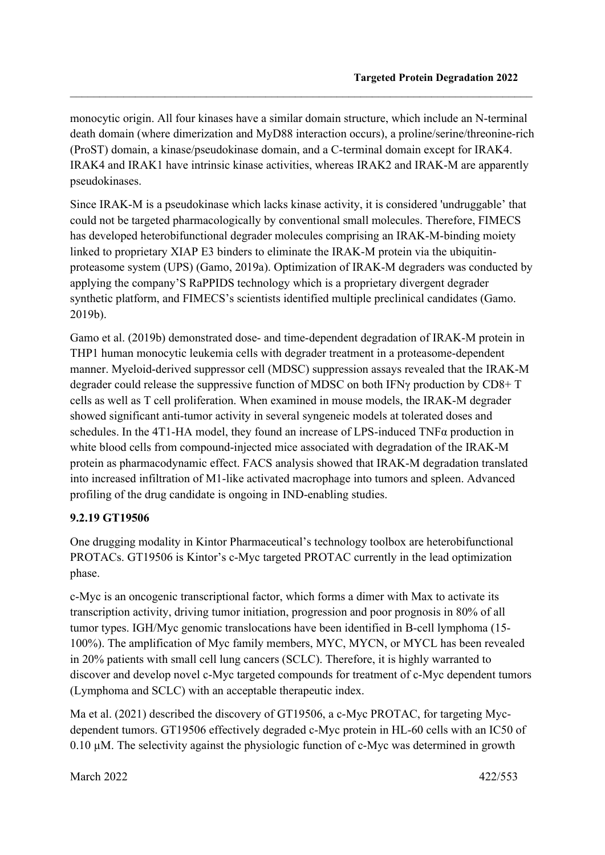monocytic origin. All four kinases have a similar domain structure, which include an N-terminal death domain (where dimerization and MyD88 interaction occurs), a proline/serine/threonine-rich (ProST) domain, a kinase/pseudokinase domain, and a C-terminal domain except for IRAK4. IRAK4 and IRAK1 have intrinsic kinase activities, whereas IRAK2 and IRAK-M are apparently pseudokinases.

 $\_$  , and the set of the set of the set of the set of the set of the set of the set of the set of the set of the set of the set of the set of the set of the set of the set of the set of the set of the set of the set of th

Since IRAK-M is a pseudokinase which lacks kinase activity, it is considered 'undruggable' that could not be targeted pharmacologically by conventional small molecules. Therefore, FIMECS has developed heterobifunctional degrader molecules comprising an IRAK-M-binding moiety linked to proprietary XIAP E3 binders to eliminate the IRAK-M protein via the ubiquitinproteasome system (UPS) (Gamo, 2019a). Optimization of IRAK-M degraders was conducted by applying the company'S RaPPIDS technology which is a proprietary divergent degrader synthetic platform, and FIMECS's scientists identified multiple preclinical candidates (Gamo. 2019b).

Gamo et al. (2019b) demonstrated dose- and time-dependent degradation of IRAK-M protein in THP1 human monocytic leukemia cells with degrader treatment in a proteasome-dependent manner. Myeloid-derived suppressor cell (MDSC) suppression assays revealed that the IRAK-M degrader could release the suppressive function of MDSC on both IFNγ production by CD8+ T cells as well as T cell proliferation. When examined in mouse models, the IRAK-M degrader showed significant anti-tumor activity in several syngeneic models at tolerated doses and schedules. In the 4T1-HA model, they found an increase of LPS-induced TNFα production in white blood cells from compound-injected mice associated with degradation of the IRAK-M protein as pharmacodynamic effect. FACS analysis showed that IRAK-M degradation translated into increased infiltration of M1-like activated macrophage into tumors and spleen. Advanced profiling of the drug candidate is ongoing in IND-enabling studies.

#### **9.2.19 GT19506**

One drugging modality in Kintor Pharmaceutical's technology toolbox are heterobifunctional PROTACs. GT19506 is Kintor's c-Myc targeted PROTAC currently in the lead optimization phase.

c-Myc is an oncogenic transcriptional factor, which forms a dimer with Max to activate its transcription activity, driving tumor initiation, progression and poor prognosis in 80% of all tumor types. IGH/Myc genomic translocations have been identified in B-cell lymphoma (15- 100%). The amplification of Myc family members, MYC, MYCN, or MYCL has been revealed in 20% patients with small cell lung cancers (SCLC). Therefore, it is highly warranted to discover and develop novel c-Myc targeted compounds for treatment of c-Myc dependent tumors (Lymphoma and SCLC) with an acceptable therapeutic index.

Ma et al. (2021) described the discovery of GT19506, a c-Myc PROTAC, for targeting Mycdependent tumors. GT19506 effectively degraded c-Myc protein in HL-60 cells with an IC50 of 0.10 µM. The selectivity against the physiologic function of c-Myc was determined in growth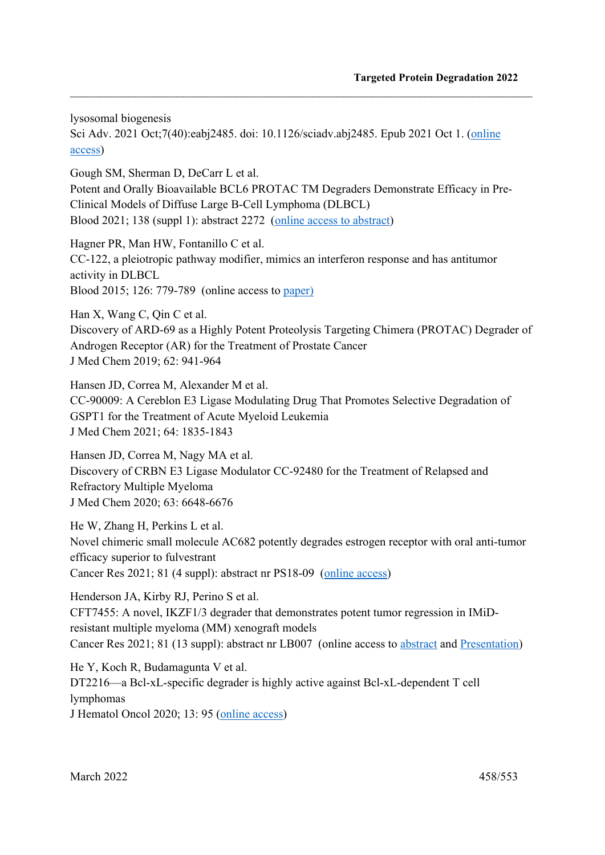lysosomal biogenesis

Sci Adv. 2021 Oct;7(40):eabj2485. doi: 10.1126/sciadv.abj2485. Epub 2021 Oct 1. (online access)

 $\_$  , and the set of the set of the set of the set of the set of the set of the set of the set of the set of the set of the set of the set of the set of the set of the set of the set of the set of the set of the set of th

Gough SM, Sherman D, DeCarr L et al. Potent and Orally Bioavailable BCL6 PROTAC TM Degraders Demonstrate Efficacy in Pre-Clinical Models of Diffuse Large B-Cell Lymphoma (DLBCL) Blood 2021; 138 (suppl 1): abstract 2272 (online access to abstract)

Hagner PR, Man HW, Fontanillo C et al. CC-122, a pleiotropic pathway modifier, mimics an interferon response and has antitumor activity in DLBCL Blood 2015; 126: 779-789 (online access to paper)

Han X, Wang C, Qin C et al.

Discovery of ARD-69 as a Highly Potent Proteolysis Targeting Chimera (PROTAC) Degrader of Androgen Receptor (AR) for the Treatment of Prostate Cancer J Med Chem 2019; 62: 941-964

Hansen JD, Correa M, Alexander M et al. CC-90009: A Cereblon E3 Ligase Modulating Drug That Promotes Selective Degradation of GSPT1 for the Treatment of Acute Myeloid Leukemia J Med Chem 2021; 64: 1835-1843

Hansen JD, Correa M, Nagy MA et al. Discovery of CRBN E3 Ligase Modulator CC-92480 for the Treatment of Relapsed and Refractory Multiple Myeloma J Med Chem 2020; 63: 6648-6676

He W, Zhang H, Perkins L et al. Novel chimeric small molecule AC682 potently degrades estrogen receptor with oral anti-tumor efficacy superior to fulvestrant Cancer Res 2021; 81 (4 suppl): abstract nr PS18-09 (online access)

Henderson JA, Kirby RJ, Perino S et al. CFT7455: A novel, IKZF1/3 degrader that demonstrates potent tumor regression in IMiDresistant multiple myeloma (MM) xenograft models Cancer Res 2021; 81 (13 suppl): abstract nr LB007 (online access to abstract and Presentation)

He Y, Koch R, Budamagunta V et al. DT2216—a Bcl-xL-specific degrader is highly active against Bcl-xL-dependent T cell lymphomas J Hematol Oncol 2020; 13: 95 (online access)